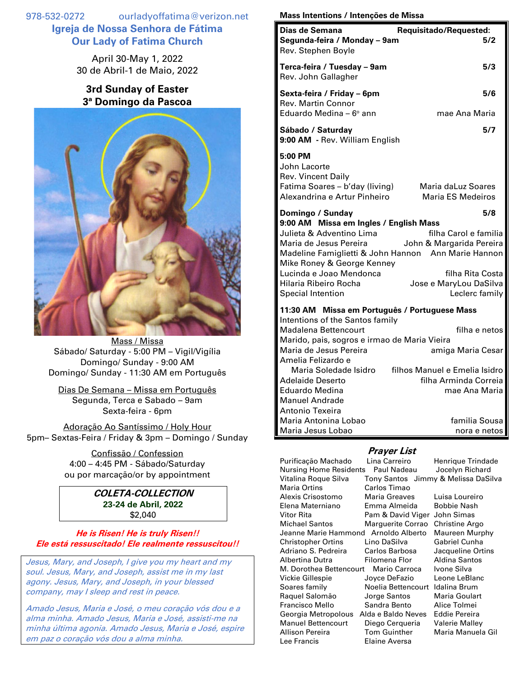978-532-0272 ourladyoffatima@verizon.net **Igreja de Nossa Senhora de Fátima Our Lady of Fatima Church**

> April 30-May 1, 2022 30 de Abril-1 de Maio, 2022

## **3rd Sunday of Easter 3ª Domingo da Pascoa**



Mass / Missa Sábado/ Saturday - 5:00 PM – Vigil/Vigília Domingo/ Sunday - 9:00 AM Domingo/ Sunday - 11:30 AM em Português

Dias De Semana – Missa em Português Segunda, Terca e Sabado – 9am Sexta-feira - 6pm

Adoração Ao Santíssimo / Holy Hour 5pm– Sextas-Feira / Friday & 3pm – Domingo / Sunday

> Confissão / Confession 4:00 – 4:45 PM - Sábado/Saturday ou por marcação/or by appointment

## **COLETA-COLLECTION 23-24 de Abril, 2022** \$2,040

**He is Risen! He is truly Risen!! Ele está ressuscitado! Ele realmente ressuscitou!!**

Jesus, Mary, and Joseph, I give you my heart and my soul. Jesus, Mary, and Joseph, assist me in my last agony. Jesus, Mary, and Joseph, in your blessed company, may I sleep and rest in peace.

Amado Jesus, Maria e José, o meu coração vós dou e a alma minha. Amado Jesus, Maria e José, assisti-me na minha última agonia. Amado Jesus, Maria e José, espire em paz o coração vós dou a alma minha.

## **Mass Intentions / Intenções de Missa**

| Dias de Semana                                                       | Requisitado/Requested:                              |
|----------------------------------------------------------------------|-----------------------------------------------------|
| Segunda-feira / Monday - 9am                                         | 5/2                                                 |
| Rev. Stephen Boyle                                                   |                                                     |
| Terca-feira / Tuesday - 9am                                          | 5/3                                                 |
| Rev. John Gallagher                                                  |                                                     |
| Sexta-feira / Friday – 6pm                                           | 5/6                                                 |
| <b>Rev. Martin Connor</b>                                            |                                                     |
| Eduardo Medina - 6° ann                                              | mae Ana Maria                                       |
| Sábado / Saturday                                                    | 5/7                                                 |
| 9:00 AM - Rev. William English                                       |                                                     |
| 5:00 PM                                                              |                                                     |
| John Lacorte                                                         |                                                     |
| <b>Rev. Vincent Daily</b><br>Fatima Soares - b'day (living)          | Maria daLuz Soares                                  |
| Alexandrina e Artur Pinheiro                                         | <b>Maria ES Medeiros</b>                            |
| Domingo / Sunday                                                     | 5/8                                                 |
| 9:00 AM Missa em Ingles / English Mass                               |                                                     |
| Julieta & Adventino Lima                                             | filha Carol e familia                               |
| Maria de Jesus Pereira                                               | John & Margarida Pereira                            |
| Mike Roney & George Kenney                                           | Madeline Famiglietti & John Hannon Ann Marie Hannon |
| Lucinda e Joao Mendonca                                              | filha Rita Costa                                    |
| Hilaria Ribeiro Rocha                                                | Jose e MaryLou DaSilva                              |
| <b>Special Intention</b>                                             | Leclerc family                                      |
| 11:30 AM Missa em Português / Portuguese Mass                        |                                                     |
| Intentions of the Santos family                                      |                                                     |
| Madalena Bettencourt<br>Marido, pais, sogros e irmao de Maria Vieira | filha e netos                                       |
| Maria de Jesus Pereira                                               | amiga Maria Cesar                                   |
| Amelia Felizardo e                                                   |                                                     |
| Maria Soledade Isidro                                                | filhos Manuel e Emelia Isidro                       |
| Adelaide Deserto                                                     | filha Arminda Correia                               |
| <b>Eduardo Medina</b><br><b>Manuel Andrade</b>                       | mae Ana Maria                                       |
| Antonio Texeira                                                      |                                                     |
| Maria Antonina Lobao                                                 | familia Sousa                                       |
| Maria Jesus Lobao                                                    | nora e netos                                        |

## **Prayer List**

Purificação Machado Lina Carreiro Henrique Trindade<br>Nursing Home Residents Paul Nadeau Jocelyn Richard Nursing Home Residents Vitalina Roque Silva Tony Santos Jimmy & Melissa DaSilva Maria Ortins Carlos Timao Alexis Crisostomo Maria Greaves Luisa Loureiro Elena Materniano Emma Almeida Bobbie Nash Vitor Rita Pam & David Viger John Simas Michael Santos Marguerite Corrao Christine Argo Jeanne Marie Hammond Arnoldo Alberto Maureen Murphy Christopher Ortins Lino DaSilva Gabriel Cunha Adriano S. Pedreira Carlos Barbosa Jacqueline Ortins Albertina Dutra Filomena Flor Aldina Santos M. Dorothea Bettencourt Mario Carroca Ivone Silva Vickie Gillespie Joyce DeFazio Leone LeBlanc Soares family **Noelia Bettencourt** Idalina Brum Raquel Salomão Jorge Santos Maria Goulart Francisco Mello Sandra Bento Alice Tolmei Georgia Metropolous Alda e Baldo Neves Eddie Pereira Manuel Bettencourt Diego Cerqueria Valerie Malley Allison Pereira Tom Guinther Maria Manuela Gil Lee Francis Elaine Aversa